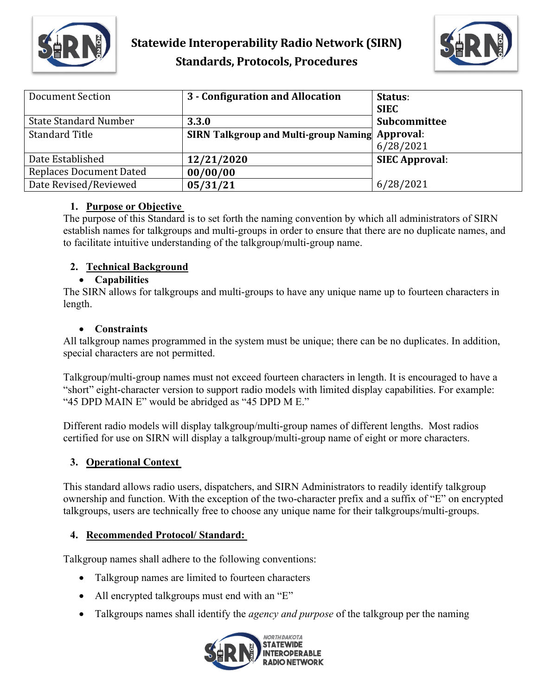



| Document Section               | 3 - Configuration and Allocation                       | Status:               |
|--------------------------------|--------------------------------------------------------|-----------------------|
|                                |                                                        | <b>SIEC</b>           |
| <b>State Standard Number</b>   | 3.3.0                                                  | Subcommittee          |
| <b>Standard Title</b>          | <b>SIRN Talkgroup and Multi-group Naming Approval:</b> |                       |
|                                |                                                        | 6/28/2021             |
| Date Established               | 12/21/2020                                             | <b>SIEC Approval:</b> |
| <b>Replaces Document Dated</b> | 00/00/00                                               |                       |
| Date Revised/Reviewed          | 05/31/21                                               | 6/28/2021             |

#### **1. Purpose or Objective**

The purpose of this Standard is to set forth the naming convention by which all administrators of SIRN establish names for talkgroups and multi-groups in order to ensure that there are no duplicate names, and to facilitate intuitive understanding of the talkgroup/multi-group name.

## **2. Technical Background**

#### • **Capabilities**

The SIRN allows for talkgroups and multi-groups to have any unique name up to fourteen characters in length.

#### • **Constraints**

All talkgroup names programmed in the system must be unique; there can be no duplicates. In addition, special characters are not permitted.

Talkgroup/multi-group names must not exceed fourteen characters in length. It is encouraged to have a "short" eight-character version to support radio models with limited display capabilities. For example: "45 DPD MAIN E" would be abridged as "45 DPD M E."

Different radio models will display talkgroup/multi-group names of different lengths. Most radios certified for use on SIRN will display a talkgroup/multi-group name of eight or more characters.

#### **3. Operational Context**

This standard allows radio users, dispatchers, and SIRN Administrators to readily identify talkgroup ownership and function. With the exception of the two-character prefix and a suffix of "E" on encrypted talkgroups, users are technically free to choose any unique name for their talkgroups/multi-groups.

#### **4. Recommended Protocol/ Standard:**

Talkgroup names shall adhere to the following conventions:

- Talkgroup names are limited to fourteen characters
- All encrypted talkgroups must end with an "E"
- Talkgroups names shall identify the *agency and purpose* of the talkgroup per the naming

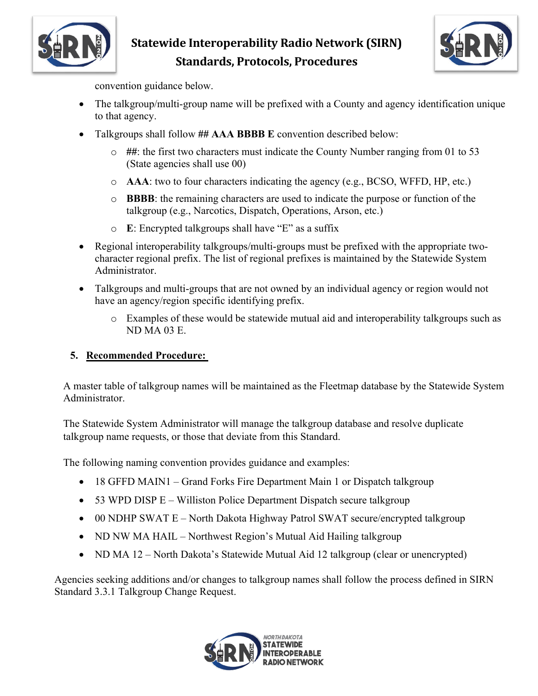

# **Statewide Interoperability Radio Network (SIRN) Standards, Protocols, Procedures**



convention guidance below.

- The talkgroup/multi-group name will be prefixed with a County and agency identification unique to that agency.
- Talkgroups shall follow **## AAA BBBB E** convention described below:
	- o **##**: the first two characters must indicate the County Number ranging from 01 to 53 (State agencies shall use 00)
	- o **AAA**: two to four characters indicating the agency (e.g., BCSO, WFFD, HP, etc.)
	- o **BBBB**: the remaining characters are used to indicate the purpose or function of the talkgroup (e.g., Narcotics, Dispatch, Operations, Arson, etc.)
	- o **E**: Encrypted talkgroups shall have "E" as a suffix
- Regional interoperability talkgroups/multi-groups must be prefixed with the appropriate twocharacter regional prefix. The list of regional prefixes is maintained by the Statewide System Administrator.
- Talkgroups and multi-groups that are not owned by an individual agency or region would not have an agency/region specific identifying prefix.
	- o Examples of these would be statewide mutual aid and interoperability talkgroups such as ND MA 03 E.

## **5. Recommended Procedure:**

A master table of talkgroup names will be maintained as the Fleetmap database by the Statewide System Administrator.

The Statewide System Administrator will manage the talkgroup database and resolve duplicate talkgroup name requests, or those that deviate from this Standard.

The following naming convention provides guidance and examples:

- 18 GFFD MAIN1 Grand Forks Fire Department Main 1 or Dispatch talkgroup
- 53 WPD DISP  $E -$  Williston Police Department Dispatch secure talkgroup
- 00 NDHP SWAT E North Dakota Highway Patrol SWAT secure/encrypted talkgroup
- ND NW MA HAIL Northwest Region's Mutual Aid Hailing talkgroup
- ND MA 12 North Dakota's Statewide Mutual Aid 12 talkgroup (clear or unencrypted)

Agencies seeking additions and/or changes to talkgroup names shall follow the process defined in SIRN Standard 3.3.1 Talkgroup Change Request.